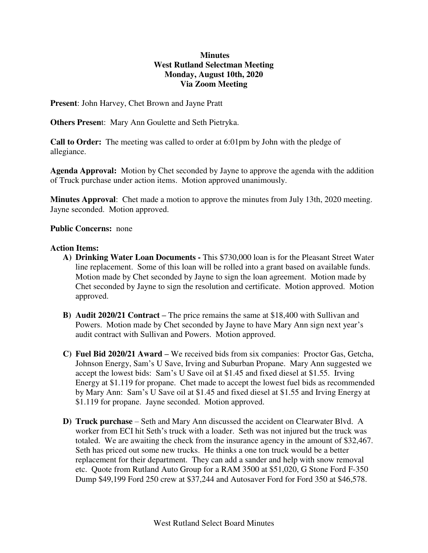# **Minutes West Rutland Selectman Meeting Monday, August 10th, 2020 Via Zoom Meeting**

**Present**: John Harvey, Chet Brown and Jayne Pratt

**Others Presen**t: Mary Ann Goulette and Seth Pietryka.

**Call to Order:** The meeting was called to order at 6:01pm by John with the pledge of allegiance.

**Agenda Approval:** Motion by Chet seconded by Jayne to approve the agenda with the addition of Truck purchase under action items. Motion approved unanimously.

**Minutes Approval**: Chet made a motion to approve the minutes from July 13th, 2020 meeting. Jayne seconded. Motion approved.

### **Public Concerns:** none

### **Action Items:**

- **A) Drinking Water Loan Documents** This \$730,000 loan is for the Pleasant Street Water line replacement. Some of this loan will be rolled into a grant based on available funds. Motion made by Chet seconded by Jayne to sign the loan agreement. Motion made by Chet seconded by Jayne to sign the resolution and certificate. Motion approved. Motion approved.
- **B) Audit 2020/21 Contract –** The price remains the same at \$18,400 with Sullivan and Powers. Motion made by Chet seconded by Jayne to have Mary Ann sign next year's audit contract with Sullivan and Powers. Motion approved.
- **C) Fuel Bid 2020/21 Award –** We received bids from six companies: Proctor Gas, Getcha, Johnson Energy, Sam's U Save, Irving and Suburban Propane. Mary Ann suggested we accept the lowest bids: Sam's U Save oil at \$1.45 and fixed diesel at \$1.55. Irving Energy at \$1.119 for propane. Chet made to accept the lowest fuel bids as recommended by Mary Ann: Sam's U Save oil at \$1.45 and fixed diesel at \$1.55 and Irving Energy at \$1.119 for propane. Jayne seconded. Motion approved.
- **D) Truck purchase**  Seth and Mary Ann discussed the accident on Clearwater Blvd. A worker from ECI hit Seth's truck with a loader. Seth was not injured but the truck was totaled. We are awaiting the check from the insurance agency in the amount of \$32,467. Seth has priced out some new trucks. He thinks a one ton truck would be a better replacement for their department. They can add a sander and help with snow removal etc. Quote from Rutland Auto Group for a RAM 3500 at \$51,020, G Stone Ford F-350 Dump \$49,199 Ford 250 crew at \$37,244 and Autosaver Ford for Ford 350 at \$46,578.